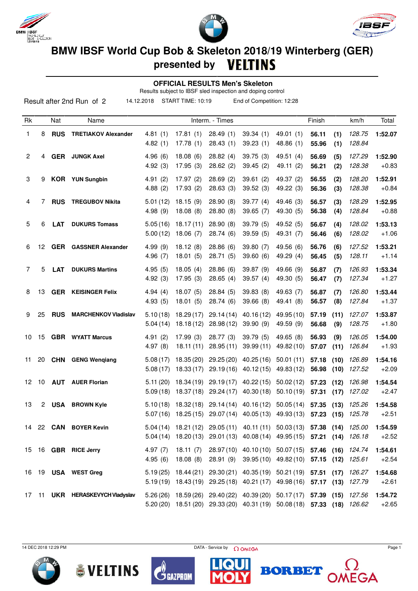





## **BMW IBSF World Cup Bob & Skeleton 2018/19 Winterberg (GER) presented by**

 **OFFICIAL RESULTS Men's Skeleton**

Results subject to IBSF sled inspection and doping control

| Result after 2nd Run of 2<br>14.12.2018<br>START TIME: 10:19<br>End of Competition: 12:28 |    |            |                                 |                       |                          |                         |                                                                                                                                                    |                                  |                |              |                  |                    |
|-------------------------------------------------------------------------------------------|----|------------|---------------------------------|-----------------------|--------------------------|-------------------------|----------------------------------------------------------------------------------------------------------------------------------------------------|----------------------------------|----------------|--------------|------------------|--------------------|
| Rk                                                                                        |    | Nat        | Name                            |                       |                          | Interm. - Times         |                                                                                                                                                    |                                  | Finish         |              | km/h             | Total              |
| 1                                                                                         | 8  | <b>RUS</b> | <b>TRETIAKOV Alexander</b>      | 4.81(1)<br>4.82(1)    | 17.81(1)<br>17.78(1)     | 28.49(1)<br>28.43(1)    | 39.34(1)<br>39.23(1)                                                                                                                               | 49.01(1)<br>48.86 (1)            | 56.11<br>55.96 | (1)<br>(1)   | 128.75<br>128.84 | 1:52.07            |
| 2                                                                                         | 4  | <b>GER</b> | <b>JUNGK Axel</b>               | 4.96(6)<br>4.92(3)    | 18.08(6)<br>17.95(3)     | 28.82(4)<br>28.62(2)    | 39.75 (3)<br>39.45(2)                                                                                                                              | 49.51(4)<br>49.11 (2)            | 56.69<br>56.21 | (5)<br>(2)   | 127.29<br>128.38 | 1:52.90<br>$+0.83$ |
| 3                                                                                         | 9  |            | <b>KOR</b> YUN Sungbin          | 4.91(2)<br>4.88(2)    | 17.97(2)<br>17.93(2)     | 28.69(2)<br>28.63(3)    | 39.61(2)<br>39.52(3)                                                                                                                               | 49.37 (2)<br>49.22 (3)           | 56.55<br>56.36 | (2)<br>(3)   | 128.20<br>128.38 | 1:52.91<br>$+0.84$ |
| 4                                                                                         | 7  | <b>RUS</b> | <b>TREGUBOV Nikita</b>          | 5.01(12)<br>4.98(9)   | 18.15(9)<br>18.08(8)     | 28.90(8)<br>28.80(8)    | 39.77(4)<br>39.65(7)                                                                                                                               | 49.46 (3)<br>49.30 (5)           | 56.57<br>56.38 | (3)<br>(4)   | 128.29<br>128.84 | 1:52.95<br>$+0.88$ |
| 5                                                                                         | 6  | <b>LAT</b> | <b>DUKURS Tomass</b>            | 5.05(16)<br>5.00(12)  | 18.17(11)<br>18.06(7)    | 28.90(8)<br>28.74 (6)   | 39.79(5)<br>39.59 (5)                                                                                                                              | 49.52 (5)<br>49.31 (7)           | 56.67<br>56.46 | (4)<br>(6)   | 128.02<br>128.02 | 1:53.13<br>$+1.06$ |
| 6                                                                                         | 12 | <b>GER</b> | <b>GASSNER Alexander</b>        | 4.99 (9)<br>4.96(7)   | 18.12(8)<br>18.01(5)     | 28.86(6)<br>28.71 (5)   | 39.80 (7)<br>39.60(6)                                                                                                                              | 49.56 (6)<br>49.29 (4)           | 56.76<br>56.45 | (6)<br>(5)   | 127.52<br>128.11 | 1:53.21<br>$+1.14$ |
| 7                                                                                         | 5  | <b>LAT</b> | <b>DUKURS Martins</b>           | 4.95(5)<br>4.92(3)    | 18.05(4)<br>17.95(3)     | 28.86(6)<br>28.65(4)    | 39.87(9)<br>39.57(4)                                                                                                                               | 49.66 (9)<br>49.30 (5)           | 56.87<br>56.47 | (7)<br>(7)   | 126.93<br>127.34 | 1:53.34<br>$+1.27$ |
| 8                                                                                         | 13 | <b>GER</b> | <b>KEISINGER Felix</b>          | 4.94(4)<br>4.93(5)    | 18.07(5)<br>18.01(5)     | 28.84(5)<br>28.74(6)    | 39.83(8)<br>39.66(8)                                                                                                                               | 49.63 (7)<br>49.41 (8)           | 56.87<br>56.57 | (7)<br>(8)   | 126.80<br>127.84 | 1:53.44<br>$+1.37$ |
| 9                                                                                         | 25 | <b>RUS</b> | <b>MARCHENKOV Vladislav</b>     | 5.10(18)<br>5.04(14)  | 18.29(17)<br>18.18(12)   | 29.14(14)<br>28.98(12)  | 40.16 (12)<br>39.90(9)                                                                                                                             | 49.95 (10)<br>49.59 (9)          | 57.19<br>56.68 | (11)<br>(9)  | 127.07<br>128.75 | 1:53.87<br>$+1.80$ |
| 10                                                                                        | 15 |            | <b>GBR</b> WYATT Marcus         | 4.91(2)<br>4.97(8)    | 17.99(3)<br>18.11(11)    | 28.77(3)<br>28.95(11)   | 39.79(5)<br>39.99(11)                                                                                                                              | 49.65(8)<br>49.82 (10)           | 56.93<br>57.07 | (9)<br>(11)  | 126.05<br>126.84 | 1:54.00<br>$+1.93$ |
| 11                                                                                        | 20 | <b>CHN</b> | <b>GENG Wengiang</b>            | 5.08(17)<br>5.08(17)  | 18.35 (20)<br>18.33(17)  | 29.25(20)<br>29.19(16)  | 40.25(16)<br>40.12(15)                                                                                                                             | 50.01(11)<br>49.83 (12)          | 57.18<br>56.98 | (10)<br>(10) | 126.89<br>127.52 | 1:54.16<br>$+2.09$ |
| 12                                                                                        | 10 | <b>AUT</b> | <b>AUER Florian</b>             | 5.11(20)<br>5.09(18)  | 18.34 (19)<br>18.37 (18) | 29.19(17)<br>29.24 (17) | 40.22(15)<br>40.30(18)                                                                                                                             | 50.02(12)<br>50.10(19)           | 57.23<br>57.31 | (12)<br>(17) | 126.98<br>127.02 | 1:54.54<br>$+2.47$ |
| 13                                                                                        | 2  | <b>USA</b> | <b>BROWN Kyle</b>               |                       |                          |                         | 5.10 (18) 18.32 (18) 29.14 (14) 40.16 (12) 50.05 (14) 57.35 (13)<br>5.07 (16) 18.25 (15) 29.07 (14) 40.05 (13) 49.93 (13) <b>57.23 (15)</b> 125.78 |                                  |                |              | 125.26           | 1:54.58<br>+2.51   |
|                                                                                           |    |            | 14 22 CAN BOYER Kevin           |                       |                          |                         | 5.04 (14) 18.21 (12) 29.05 (11) 40.11 (11) 50.03 (13) 57.38 (14) 125.00<br>5.04 (14) 18.20 (13) 29.01 (13) 40.08 (14) 49.95 (15) 57.21 (14) 126.18 |                                  |                |              |                  | 1:54.59<br>$+2.52$ |
|                                                                                           |    |            | 15 16 GBR RICE Jerry            | 4.97 $(7)$<br>4.95(6) | 18.11(7)<br>18.08(8)     | 28.91 (9)               | 28.97 (10) 40.10 (10) 50.07 (15) 57.46 (16)                                                                                                        | 39.95 (10) 49.82 (10) 57.15 (12) |                |              | 124.74<br>125.61 | 1:54.61<br>$+2.54$ |
|                                                                                           |    |            | 16 19 USA WEST Greg             |                       |                          |                         | $5.19(25)$ 18.44 (21) 29.30 (21) 40.35 (19) 50.21 (19) 57.51 (17)<br>5.19 (19) 18.43 (19) 29.25 (18) 40.21 (17) 49.98 (16) 57.17 (13) 127.79       |                                  |                |              | 126.27           | 1:54.68<br>$+2.61$ |
|                                                                                           |    |            | 17 11 UKR HERASKEVYCH Vladyslav |                       |                          |                         | 5.26 (26) 18.59 (26) 29.40 (22) 40.39 (20) 50.17 (17) 57.39 (15)<br>5.20 (20) 18.51 (20) 29.33 (20) 40.31 (19) 50.08 (18) 57.33 (18) 126.62        |                                  |                |              | 127.56           | 1:54.72<br>$+2.65$ |

14 DEC 2018 12:29 PM  $\bigcap_{n=1}^{\infty}$  Page 1









**EGA**